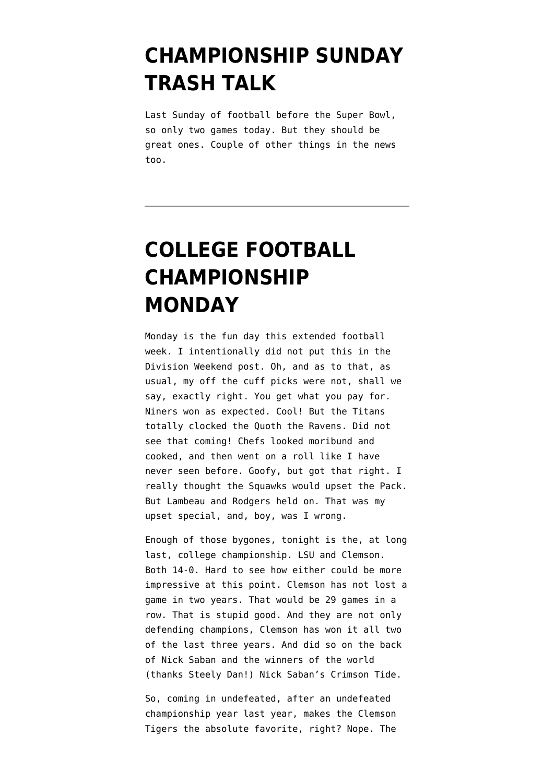# **[CHAMPIONSHIP SUNDAY](https://www.emptywheel.net/2020/01/19/championship-sunday-trash-talk-2/) [TRASH TALK](https://www.emptywheel.net/2020/01/19/championship-sunday-trash-talk-2/)**

Last Sunday of football before the Super Bowl, so only two games today. But they should be great ones. Couple of other things in the news too.

# **[COLLEGE FOOTBALL](https://www.emptywheel.net/2020/01/13/college-football-championship-monday/) [CHAMPIONSHIP](https://www.emptywheel.net/2020/01/13/college-football-championship-monday/) [MONDAY](https://www.emptywheel.net/2020/01/13/college-football-championship-monday/)**

Monday is the fun day this extended football week. I intentionally did not put this in the Division Weekend post. Oh, and as to that, as usual, my off the cuff picks were not, shall we say, exactly right. You get what you pay for. Niners won as expected. Cool! But the Titans totally clocked the Quoth the Ravens. Did not see that coming! Chefs looked moribund and cooked, and then went on a roll like I have never seen before. Goofy, but got that right. I really thought the Squawks would upset the Pack. But Lambeau and Rodgers held on. That was my upset special, and, boy, was I wrong.

Enough of those bygones, tonight is the, at long last, college championship. LSU and Clemson. Both 14-0. Hard to see how either could be more impressive at this point. Clemson has not lost a game in two years. That would be 29 games in a row. That is stupid good. And they are not only defending champions, Clemson has won it all two of the last three years. And did so on the back of Nick Saban and the winners of the world (thanks Steely Dan!) Nick Saban's Crimson Tide.

So, coming in undefeated, after an undefeated championship year last year, makes the Clemson Tigers the absolute favorite, right? Nope. The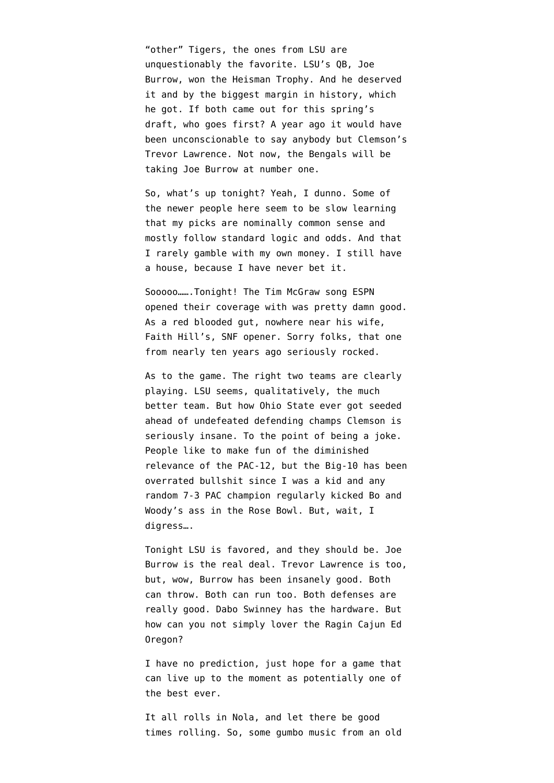"other" Tigers, the ones from LSU are unquestionably the favorite. LSU's QB, Joe Burrow, won the Heisman Trophy. And he deserved it and by the biggest margin in history, which he got. If both came out for this spring's draft, who goes first? A year ago it would have been unconscionable to say anybody but Clemson's Trevor Lawrence. Not now, the Bengals will be taking Joe Burrow at number one.

So, what's up tonight? Yeah, I dunno. Some of the newer people here seem to be slow learning that my picks are nominally common sense and mostly follow standard logic and odds. And that I rarely gamble with my own money. I still have a house, because I have never bet it.

Sooooo…….Tonight! The Tim McGraw song ESPN opened their coverage with was pretty damn good. As a red blooded gut, nowhere near his wife, [Faith Hill's, SNF opener.](https://www.youtube.com/watch?v=49iYJr4q6vk) Sorry folks, that one from nearly ten years ago seriously rocked.

As to the game. The right two teams are clearly playing. LSU seems, qualitatively, the much better team. But how Ohio State ever got seeded ahead of undefeated defending champs Clemson is seriously insane. To the point of being a joke. People like to make fun of the diminished relevance of the PAC-12, but the Big-10 has been overrated bullshit since I was a kid and any random 7-3 PAC champion regularly kicked Bo and Woody's ass in the Rose Bowl. But, wait, I digress….

Tonight LSU is favored, and they should be. Joe Burrow is the real deal. Trevor Lawrence is too, but, wow, Burrow has been insanely good. Both can throw. Both can run too. Both defenses are really good. Dabo Swinney has the hardware. But how can you not simply lover the Ragin Cajun Ed Oregon?

I have no prediction, just hope for a game that can live up to the moment as potentially one of the best ever.

It all rolls in Nola, and let there be good times rolling. So, some gumbo music from an old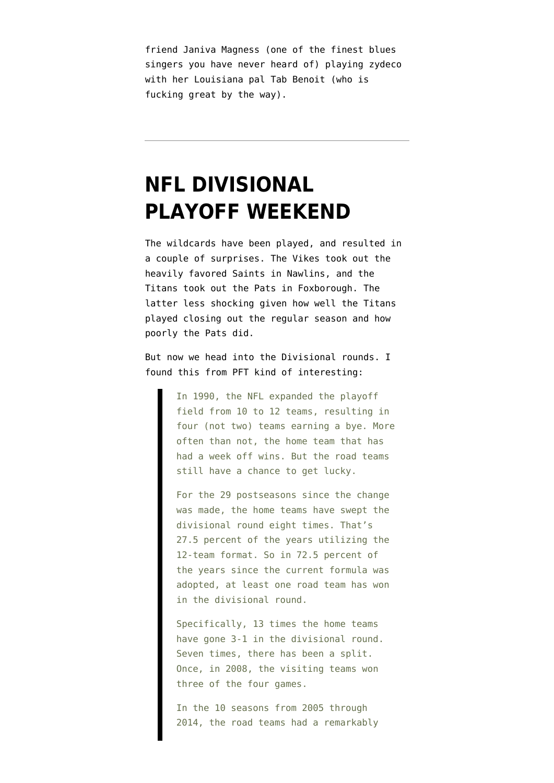friend Janiva Magness (one of the finest blues singers you have never heard of) playing zydeco with her Louisiana pal Tab Benoit (who is fucking great by the way).

### **[NFL DIVISIONAL](https://www.emptywheel.net/2020/01/11/nfl-divisional-playoff-weekend/) [PLAYOFF WEEKEND](https://www.emptywheel.net/2020/01/11/nfl-divisional-playoff-weekend/)**

The wildcards have been played, and resulted in a couple of surprises. The Vikes took out the heavily favored Saints in Nawlins, and the Titans took out the Pats in Foxborough. The latter less shocking given how well the Titans played closing out the regular season and how poorly the Pats did.

But now we head into the Divisional rounds. I found [this from PFT](https://profootballtalk.nbcsports.com/2020/01/10/divisional-round-road-teams-have-a-punchers-chance-to-win/) kind of interesting:

> In 1990, the NFL expanded the playoff field from 10 to 12 teams, resulting in four (not two) teams earning a bye. More often than not, the home team that has had a week off wins. But the road teams still have a chance to get lucky.

For the 29 postseasons since the change was made, the home teams have swept the divisional round eight times. That's 27.5 percent of the years utilizing the 12-team format. So in 72.5 percent of the years since the current formula was adopted, at least one road team has won in the divisional round.

Specifically, 13 times the home teams have gone 3-1 in the divisional round. Seven times, there has been a split. Once, in 2008, the visiting teams won three of the four games.

In the 10 seasons from 2005 through 2014, the road teams had a remarkably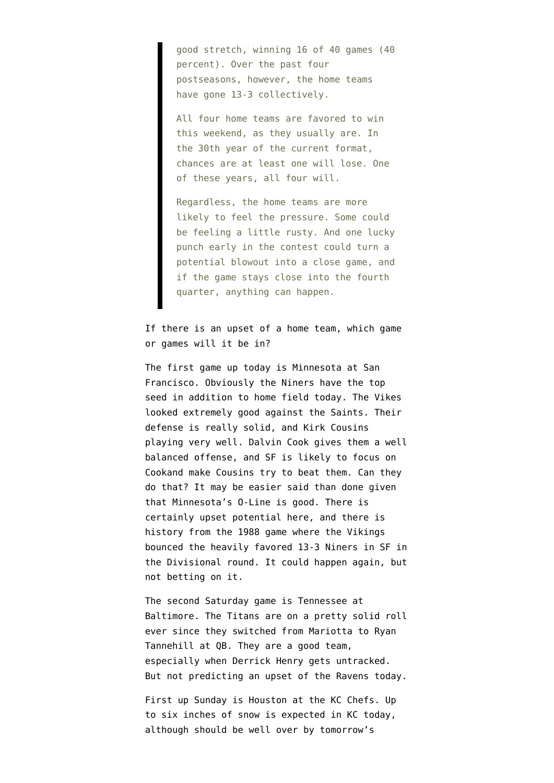good stretch, winning 16 of 40 games (40 percent). Over the past four postseasons, however, the home teams have gone 13-3 collectively.

All four home teams are favored to win this weekend, as they usually are. In the 30th year of the current format, chances are at least one will lose. One of these years, all four will.

Regardless, the home teams are more likely to feel the pressure. Some could be feeling a little rusty. And one lucky punch early in the contest could turn a potential blowout into a close game, and if the game stays close into the fourth quarter, anything can happen.

If there is an upset of a home team, which game or games will it be in?

The first game up today is Minnesota at San Francisco. Obviously the Niners have the top seed in addition to home field today. The Vikes looked extremely good against the Saints. Their defense is really solid, and Kirk Cousins playing very well. Dalvin Cook gives them a well balanced offense, and SF is likely to focus on Cookand make Cousins try to beat them. Can they do that? It may be easier said than done given that Minnesota's O-Line is good. There is certainly upset potential here, and there is history from the 1988 game where the Vikings bounced the heavily favored 13-3 Niners in SF in the Divisional round. It could happen again, but not betting on it.

The second Saturday game is Tennessee at Baltimore. The Titans are on a pretty solid roll ever since they switched from Mariotta to Ryan Tannehill at QB. They are a good team, especially when Derrick Henry gets untracked. But not predicting an upset of the Ravens today.

First up Sunday is Houston at the KC Chefs. Up to six inches of snow is expected in KC today, although should be well over by tomorrow's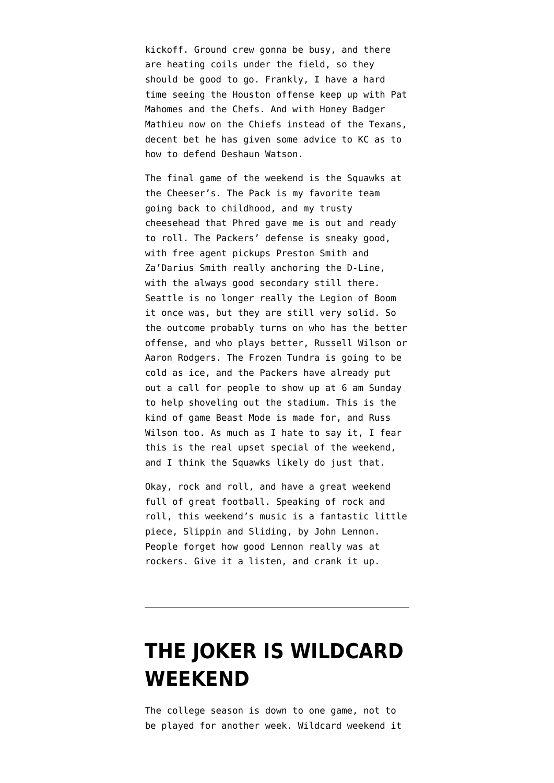kickoff. Ground crew gonna be busy, and there are heating coils under the field, so they should be good to go. Frankly, I have a hard time seeing the Houston offense keep up with Pat Mahomes and the Chefs. And with Honey Badger Mathieu now on the Chiefs instead of the Texans, decent bet he has given some advice to KC as to how to defend Deshaun Watson.

The final game of the weekend is the Squawks at the Cheeser's. The Pack is my favorite team going back to childhood, and my trusty cheesehead that Phred gave me is out and ready to roll. The Packers' defense is sneaky good, with free agent pickups Preston Smith and Za'Darius Smith really anchoring the D-Line, with the always good secondary still there. Seattle is no longer really the Legion of Boom it once was, but they are still very solid. So the outcome probably turns on who has the better offense, and who plays better, Russell Wilson or Aaron Rodgers. The Frozen Tundra is going to be cold as ice, and the Packers have already put out a call for people to show up at 6 am Sunday to help shoveling out the stadium. This is the kind of game Beast Mode is made for, and Russ Wilson too. As much as I hate to say it, I fear this is the real upset special of the weekend, and I think the Squawks likely do just that.

Okay, rock and roll, and have a great weekend full of great football. Speaking of rock and roll, this weekend's music is a fantastic little piece, Slippin and Sliding, by John Lennon. People forget how good Lennon really was at rockers. Give it a listen, and crank it up.

### **[THE JOKER IS WILDCARD](https://www.emptywheel.net/2020/01/04/the-joker-is-wildcard-weekend/) [WEEKEND](https://www.emptywheel.net/2020/01/04/the-joker-is-wildcard-weekend/)**

The college season is down to one game, not to be played for another week. Wildcard weekend it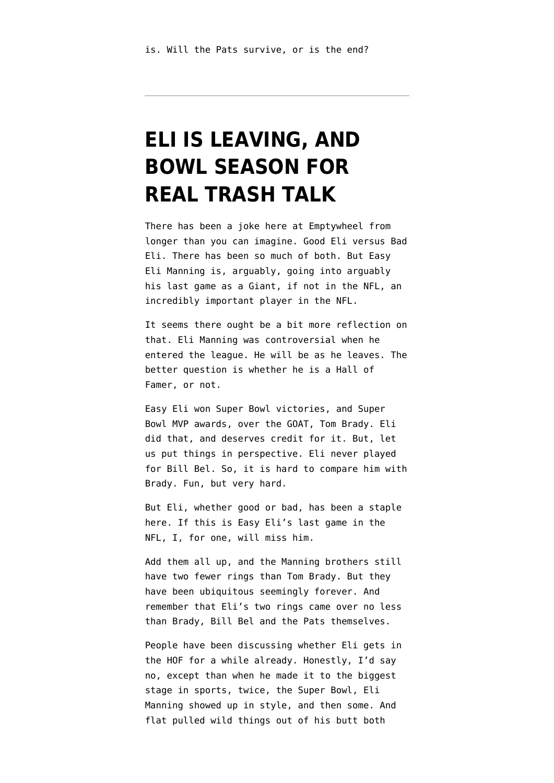# **[ELI IS LEAVING, AND](https://www.emptywheel.net/2019/12/28/eli-is-leaving-and-bowl-season-for-real-trash-talk/) [BOWL SEASON FOR](https://www.emptywheel.net/2019/12/28/eli-is-leaving-and-bowl-season-for-real-trash-talk/) [REAL TRASH TALK](https://www.emptywheel.net/2019/12/28/eli-is-leaving-and-bowl-season-for-real-trash-talk/)**

There has been a joke here at Emptywheel from longer than you can imagine. Good Eli versus Bad Eli. There has been so much of both. But Easy Eli Manning is, arguably, going into arguably his last game as a Giant, if not in the NFL, an incredibly important player in the NFL.

It seems there ought be a bit more reflection on that. Eli Manning was controversial when he entered the league. He will be as he leaves. The better question is whether he is a Hall of Famer, or not.

Easy Eli won Super Bowl victories, and Super Bowl MVP awards, over the GOAT, Tom Brady. Eli did that, and deserves credit for it. But, let us put things in perspective. Eli never played for Bill Bel. So, it is hard to compare him with Brady. Fun, but very hard.

But Eli, whether good or bad, has been a staple here. If this is Easy Eli's last game in the NFL, I, for one, will miss him.

Add them all up, and the Manning brothers still have two fewer rings than Tom Brady. But they have been ubiquitous seemingly forever. And remember that Eli's two rings came over no less than Brady, Bill Bel and the Pats themselves.

People have been discussing whether Eli gets in the HOF for a while already. Honestly, I'd say no, except than when he made it to the biggest stage in sports, twice, the Super Bowl, Eli Manning showed up in style, and then some. And flat pulled wild things out of his butt both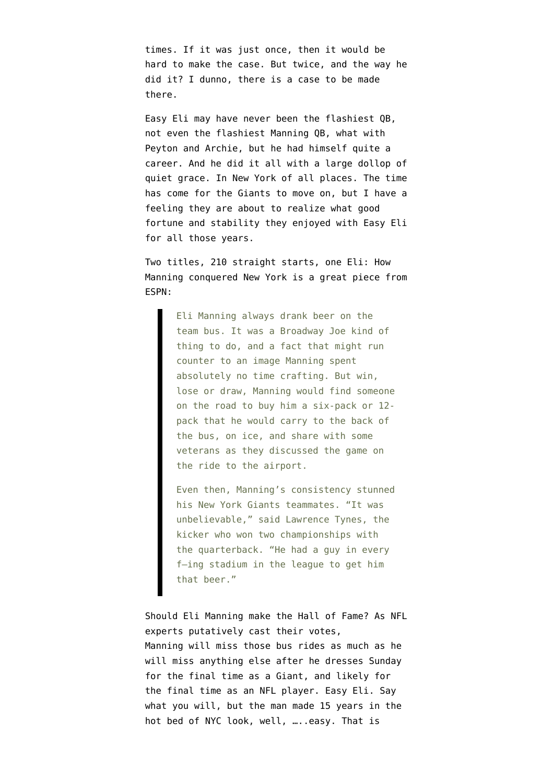times. If it was just once, then it would be hard to make the case. But twice, and the way he did it? I dunno, there is a case to be made there.

Easy Eli may have never been the flashiest QB, not even the flashiest Manning QB, what with Peyton and Archie, but he had himself quite a career. And he did it all with a large dollop of quiet grace. In New York of all places. The time has come for the Giants to move on, but I have a feeling they are about to realize what good fortune and stability they enjoyed with Easy Eli for all those years.

Two titles, 210 straight starts, one Eli: How Manning conquered New York is a great piece from ESPN:

> Eli Manning always drank beer on the team bus. It was a Broadway Joe kind of thing to do, and a fact that might run counter to an image Manning spent absolutely no time crafting. But win, lose or draw, Manning would find someone on the road to buy him a six-pack or 12 pack that he would carry to the back of the bus, on ice, and share with some veterans as they discussed the game on the ride to the airport.

> Even then, Manning's consistency stunned his New York Giants teammates. "It was unbelievable," said Lawrence Tynes, the kicker who won two championships with the quarterback. "He had a guy in every f—ing stadium in the league to get him that beer."

Should Eli Manning make the Hall of Fame? As NFL experts putatively cast their votes, Manning will miss those bus rides as much as he will miss anything else after he dresses Sunday for the final time as a Giant, and likely for the final time as an NFL player. Easy Eli. Say what you will, but the man made 15 years in the hot bed of NYC look, well, …..easy. That is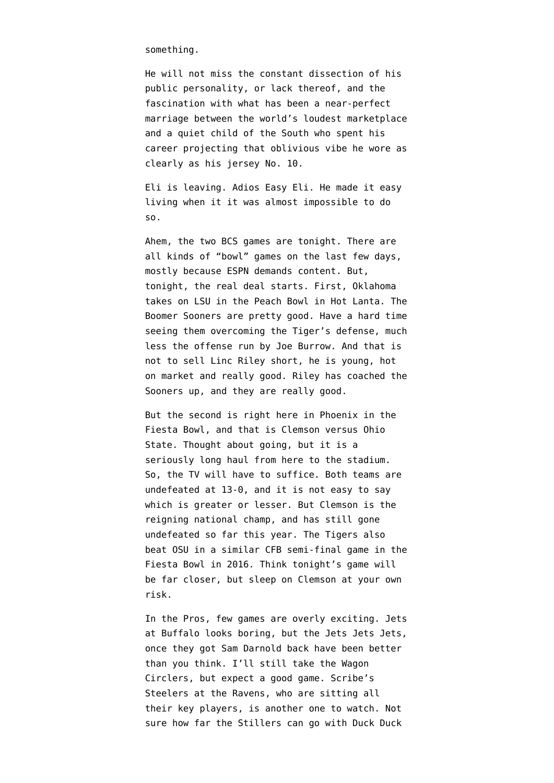something.

He will not miss the constant dissection of his public personality, or lack thereof, and the fascination with what has been a near-perfect marriage between the world's loudest marketplace and a quiet child of the South who spent his career projecting that oblivious vibe he wore as clearly as his jersey No. 10.

Eli is leaving. Adios Easy Eli. He made it easy living when it it was almost impossible to do so.

Ahem, the two BCS games are tonight. There are all kinds of "bowl" games on the last few days, mostly because ESPN demands content. But, tonight, the real deal starts. First, Oklahoma takes on LSU in the Peach Bowl in Hot Lanta. The Boomer Sooners are pretty good. Have a hard time seeing them overcoming the Tiger's defense, much less the offense run by Joe Burrow. And that is not to sell Linc Riley short, he is young, hot on market and really good. Riley has coached the Sooners up, and they are really good.

But the second is right here in Phoenix in the Fiesta Bowl, and that is Clemson versus Ohio State. Thought about going, but it is a seriously long haul from here to the stadium. So, the TV will have to suffice. Both teams are undefeated at 13-0, and it is not easy to say which is greater or lesser. But Clemson is the reigning national champ, and has still gone undefeated so far this year. The Tigers also beat OSU in a similar CFB semi-final game in the Fiesta Bowl in 2016. Think tonight's game will be far closer, but sleep on Clemson at your own risk.

In the Pros, few games are overly exciting. Jets at Buffalo looks boring, but the Jets Jets Jets, once they got Sam Darnold back have been better than you think. I'll still take the Wagon Circlers, but expect a good game. Scribe's Steelers at the Ravens, who are sitting all their key players, is another one to watch. Not sure how far the Stillers can go with Duck Duck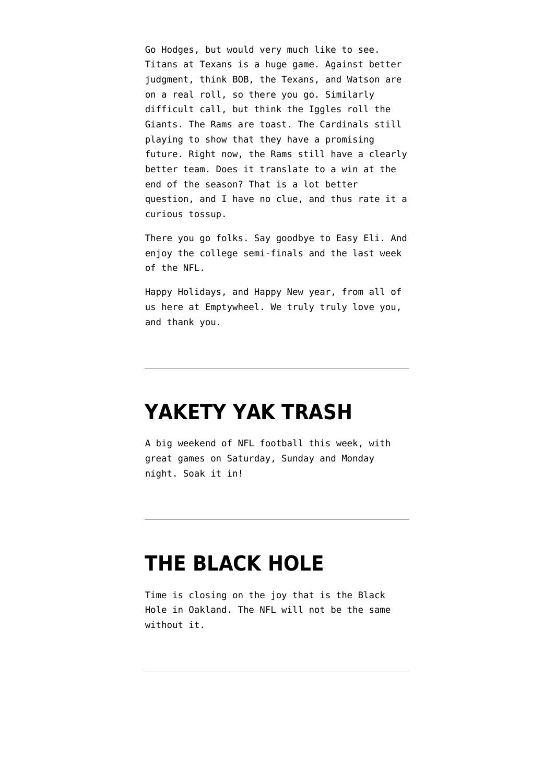Go Hodges, but would very much like to see. Titans at Texans is a huge game. Against better judgment, think BOB, the Texans, and Watson are on a real roll, so there you go. Similarly difficult call, but think the Iggles roll the Giants. The Rams are toast. The Cardinals still playing to show that they have a promising future. Right now, the Rams still have a clearly better team. Does it translate to a win at the end of the season? That is a lot better question, and I have no clue, and thus rate it a curious tossup.

There you go folks. Say goodbye to Easy Eli. And enjoy the college semi-finals and the last week of the NFL.

Happy Holidays, and Happy New year, from all of us here at Emptywheel. We truly truly love you, and thank you.

#### **[YAKETY YAK TRASH](https://www.emptywheel.net/2019/12/21/yakety-yak-trash/)**

A big weekend of NFL football this week, with great games on Saturday, Sunday and Monday night. Soak it in!

### **[THE BLACK HOLE](https://www.emptywheel.net/2019/12/14/the-black-hole/)**

Time is closing on the joy that is the Black Hole in Oakland. The NFL will not be the same without it.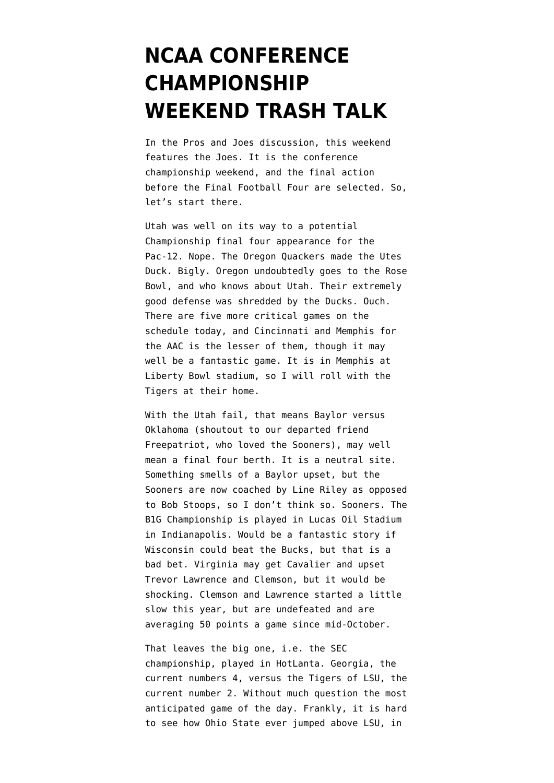# **[NCAA CONFERENCE](https://www.emptywheel.net/2019/12/07/ncaa-conference-championship-weekend-trash-talk/) [CHAMPIONSHIP](https://www.emptywheel.net/2019/12/07/ncaa-conference-championship-weekend-trash-talk/) [WEEKEND TRASH TALK](https://www.emptywheel.net/2019/12/07/ncaa-conference-championship-weekend-trash-talk/)**

In the Pros and Joes discussion, this weekend features the Joes. It is the conference championship weekend, and the final action before the Final Football Four are selected. So, let's start there.

Utah was well on its way to a potential Championship final four appearance for the Pac-12. Nope. The Oregon Quackers made the Utes Duck. Bigly. Oregon undoubtedly goes to the Rose Bowl, and who knows about Utah. Their extremely good defense was shredded by the Ducks. Ouch. There are five more critical games on the schedule today, and Cincinnati and Memphis for the AAC is the lesser of them, though it may well be a fantastic game. It is in Memphis at Liberty Bowl stadium, so I will roll with the Tigers at their home.

With the Utah fail, that means Baylor versus Oklahoma (shoutout to our departed friend Freepatriot, who loved the Sooners), may well mean a final four berth. It is a neutral site. Something smells of a Baylor upset, but the Sooners are now coached by Line Riley as opposed to Bob Stoops, so I don't think so. Sooners. The B1G Championship is played in Lucas Oil Stadium in Indianapolis. Would be a fantastic story if Wisconsin could beat the Bucks, but that is a bad bet. Virginia may get Cavalier and upset Trevor Lawrence and Clemson, but it would be shocking. Clemson and Lawrence started a little slow this year, but are undefeated and are averaging 50 points a game since mid-October.

That leaves the big one, i.e. the SEC championship, played in HotLanta. Georgia, the current numbers 4, versus the Tigers of LSU, the current number 2. Without much question the most anticipated game of the day. Frankly, it is hard to see how Ohio State ever jumped above LSU, in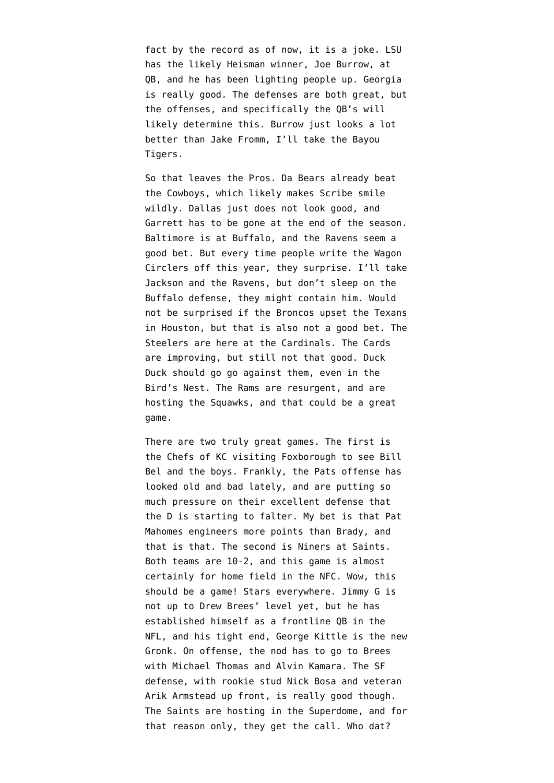fact by the record as of now, it is a joke. LSU has the likely Heisman winner, Joe Burrow, at QB, and he has been lighting people up. Georgia is really good. The defenses are both great, but the offenses, and specifically the QB's will likely determine this. Burrow just looks a lot better than Jake Fromm, I'll take the Bayou Tigers.

So that leaves the Pros. Da Bears already beat the Cowboys, which likely makes Scribe smile wildly. Dallas just does not look good, and Garrett has to be gone at the end of the season. Baltimore is at Buffalo, and the Ravens seem a good bet. But every time people write the Wagon Circlers off this year, they surprise. I'll take Jackson and the Ravens, but don't sleep on the Buffalo defense, they might contain him. Would not be surprised if the Broncos upset the Texans in Houston, but that is also not a good bet. The Steelers are here at the Cardinals. The Cards are improving, but still not that good. Duck Duck should go go against them, even in the Bird's Nest. The Rams are resurgent, and are hosting the Squawks, and that could be a great game.

There are two truly great games. The first is the Chefs of KC visiting Foxborough to see Bill Bel and the boys. Frankly, the Pats offense has looked old and bad lately, and are putting so much pressure on their excellent defense that the D is starting to falter. My bet is that Pat Mahomes engineers more points than Brady, and that is that. The second is Niners at Saints. Both teams are 10-2, and this game is almost certainly for home field in the NFC. Wow, this should be a game! Stars everywhere. Jimmy G is not up to Drew Brees' level yet, but he has established himself as a frontline QB in the NFL, and his tight end, George Kittle is the new Gronk. On offense, the nod has to go to Brees with Michael Thomas and Alvin Kamara. The SF defense, with rookie stud Nick Bosa and veteran Arik Armstead up front, is really good though. The Saints are hosting in the Superdome, and for that reason only, they get the call. Who dat?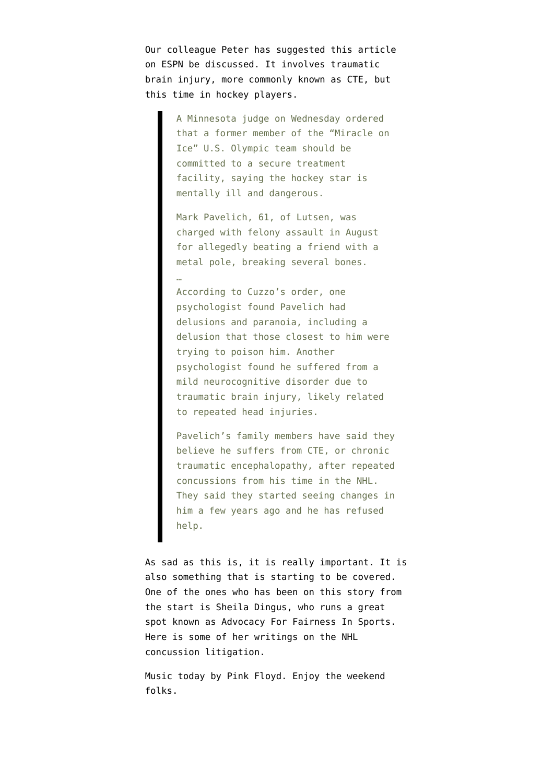Our colleague Peter has suggested [this article](https://www.espn.com/nhl/story/_/id/28227894/judge-orders-miracle-ice-player-mark-pavelich-undergo-treatment) [on ESPN](https://www.espn.com/nhl/story/_/id/28227894/judge-orders-miracle-ice-player-mark-pavelich-undergo-treatment) be discussed. It involves traumatic brain injury, more commonly known as CTE, but this time in hockey players.

> A Minnesota judge on Wednesday ordered that a former member of the "Miracle on Ice" U.S. Olympic team should be committed to a secure treatment facility, saying the hockey star is mentally ill and dangerous.

Mark Pavelich, 61, of Lutsen, was charged with felony assault in August for allegedly beating a friend with a metal pole, breaking several bones. …

According to Cuzzo's order, one psychologist found Pavelich had delusions and paranoia, including a delusion that those closest to him were trying to poison him. Another psychologist found he suffered from a mild neurocognitive disorder due to traumatic brain injury, likely related to repeated head injuries.

Pavelich's family members have said they believe he suffers from CTE, or chronic traumatic encephalopathy, after repeated concussions from his time in the NHL. They said they started seeing changes in him a few years ago and he has refused help.

As sad as this is, it is really important. It is also something that is starting to be covered. One of the ones who has been on this story from the start is Sheila Dingus, who runs a great spot known as [Advocacy For Fairness In Sports](https://advocacyforfairnessinsports.org). Here is some of her writings on the [NHL](https://advocacyforfairnessinsports.org/archive/nhl-concussion-injury-litigation/) [concussion litigation](https://advocacyforfairnessinsports.org/archive/nhl-concussion-injury-litigation/).

Music today by Pink Floyd. Enjoy the weekend folks.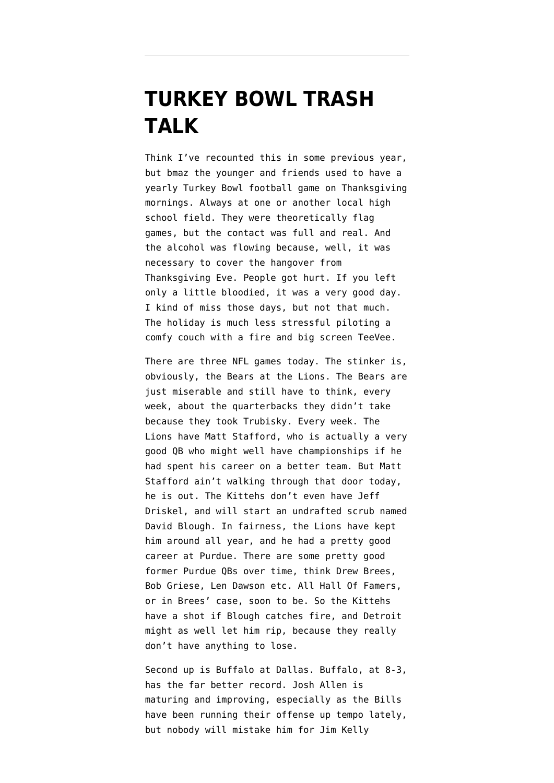### **[TURKEY BOWL TRASH](https://www.emptywheel.net/2019/11/28/turkey-bowl-trash-talk/) [TALK](https://www.emptywheel.net/2019/11/28/turkey-bowl-trash-talk/)**

Think I've recounted this in some previous year, but bmaz the younger and friends used to have a yearly Turkey Bowl football game on Thanksgiving mornings. Always at one or another local high school field. They were theoretically flag games, but the contact was full and real. And the alcohol was flowing because, well, it was necessary to cover the hangover from Thanksgiving Eve. People got hurt. If you left only a little bloodied, it was a very good day. I kind of miss those days, but not that much. The holiday is much less stressful piloting a comfy couch with a fire and big screen TeeVee.

There are three NFL games today. The stinker is, obviously, the Bears at the Lions. The Bears are just miserable and still have to think, every week, about the quarterbacks they didn't take because they took Trubisky. Every week. The Lions have Matt Stafford, who is actually a very good QB who might well have championships if he had spent his career on a better team. But Matt Stafford ain't walking through that door today, he is out. The Kittehs don't even have Jeff Driskel, and will start an undrafted scrub named David Blough. In fairness, the Lions have kept him around all year, and he had a pretty good career at Purdue. There are some pretty good former Purdue QBs over time, think Drew Brees, Bob Griese, Len Dawson etc. All Hall Of Famers, or in Brees' case, soon to be. So the Kittehs have a shot if Blough catches fire, and Detroit might as well let him rip, because they really don't have anything to lose.

Second up is Buffalo at Dallas. Buffalo, at 8-3, has the far better record. Josh Allen is maturing and improving, especially as the Bills have been running their offense up tempo lately, but nobody will mistake him for Jim Kelly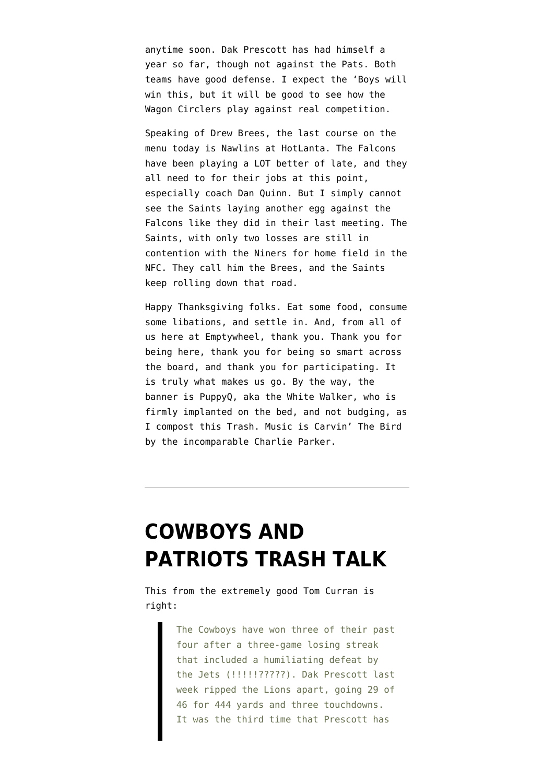anytime soon. Dak Prescott has had himself a year so far, though not against the Pats. Both teams have good defense. I expect the 'Boys will win this, but it will be good to see how the Wagon Circlers play against real competition.

Speaking of Drew Brees, the last course on the menu today is Nawlins at HotLanta. The Falcons have been playing a LOT better of late, and they all need to for their jobs at this point, especially coach Dan Quinn. But I simply cannot see the Saints laying another egg against the Falcons like they did in their last meeting. The Saints, with only two losses are still in contention with the Niners for home field in the NFC. They call him the Brees, and the Saints keep rolling down that road.

Happy Thanksgiving folks. Eat some food, consume some libations, and settle in. And, from all of us here at Emptywheel, thank you. Thank you for being here, thank you for being so smart across the board, and thank you for participating. It is truly what makes us go. By the way, the banner is PuppyQ, aka the White Walker, who is firmly implanted on the bed, and not budging, as I compost this Trash. Music is Carvin' The Bird by the incomparable Charlie Parker.

# **[COWBOYS AND](https://www.emptywheel.net/2019/11/23/cowboys-and-patriots-trash-talk/) [PATRIOTS TRASH TALK](https://www.emptywheel.net/2019/11/23/cowboys-and-patriots-trash-talk/)**

This from the [extremely good Tom Curran](https://www.nbcsports.com/boston/patriots/tom-e-currans-patriots-cowboys-preview) is right:

> The Cowboys have won three of their past four after a three-game losing streak that included a humiliating defeat by the Jets (!!!!!?????). Dak Prescott last week ripped the Lions apart, going 29 of 46 for 444 yards and three touchdowns. It was the third time that Prescott has